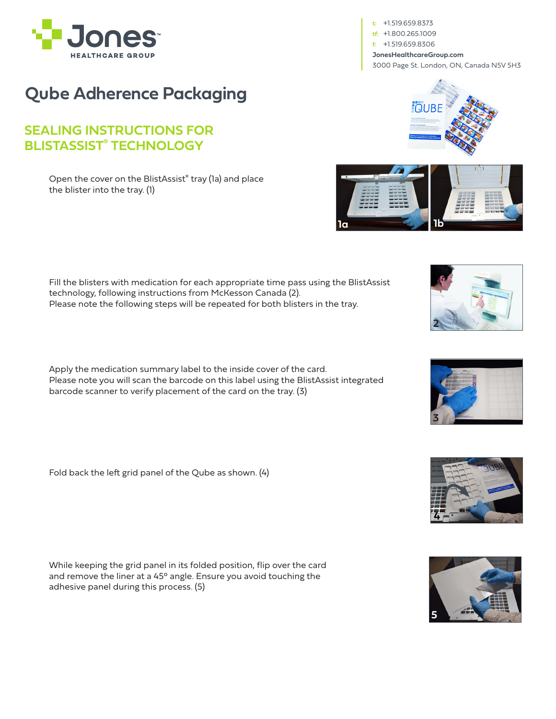

**Qube Adherence Packaging**

## **SEALING INSTRUCTIONS FOR BLISTASSIST® TECHNOLOGY**

Open the cover on the BlistAssist® tray (1a) and place the blister into the tray. (1)

Fill the blisters with medication for each appropriate time pass using the BlistAssist technology, following instructions from McKesson Canada (2). Please note the following steps will be repeated for both blisters in the tray.

Apply the medication summary label to the inside cover of the card. Please note you will scan the barcode on this label using the BlistAssist integrated barcode scanner to verify placement of the card on the tray. (3)

Fold back the left grid panel of the Qube as shown. (4)

While keeping the grid panel in its folded position, flip over the card and remove the liner at a 45° angle. Ensure you avoid touching the adhesive panel during this process. (5)

**t:** +1.519.659.8373 **tf:** +1.800.265.1009 **f:** +1.519.659.8306 **JonesHealthcareGroup.com** 3000 Page St. London, ON, Canada N5V 5H3